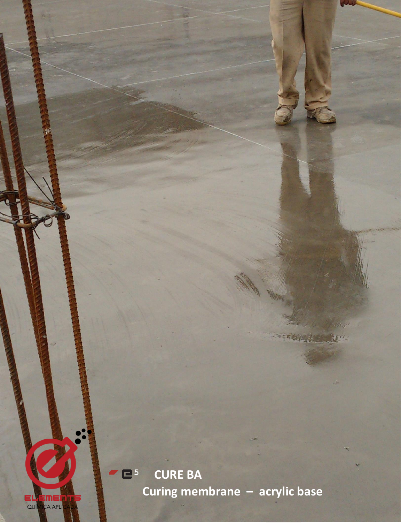

EL EMER<br>QUÍMCA APLI

**<sup>5</sup> CURE BA**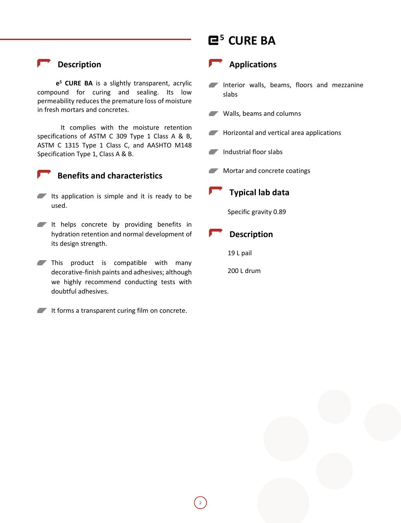### **Description**

**e <sup>5</sup> CURE BA** is a slightly transparent, acrylic compound for curing and sealing. Its low permeability reduces the premature loss of moisture in fresh mortars and concretes.

It complies with the moisture retention specifications of ASTM C 309 Type 1 Class A & B, ASTM C 1315 Type 1 Class C, and AASHTO M148 Specification Type 1, Class A & B.



#### **Benefits and characteristics**

- Its application is simple and it is ready to be used.
- It helps concrete by providing benefits in hydration retention and normal development of its design strength.
- This product is compatible with many decorative-finish paints and adhesives; although we highly recommend conducting tests with doubtful adhesives.
- It forms a transparent curing film on concrete.

# **<sup>5</sup> CURE BA**



#### **Applications**

- Interior walls, beams, floors and mezzanine slabs
- Walls, beams and columns
- **Horizontal and vertical area applications**
- Industrial floor slabs
- **Mortar and concrete coatings**



### **Typical lab data**

Specific gravity 0.89



19 L pail

200 L drum

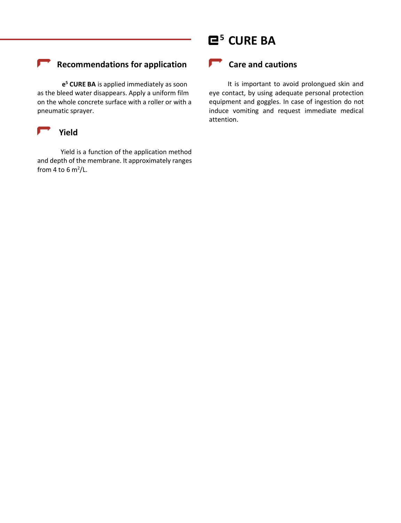# **<sup>5</sup> CURE BA**

### **Recommendations for application**

 **e <sup>5</sup> CURE BA** is applied immediately as soon as the bleed water disappears. Apply a uniform film on the whole concrete surface with a roller or with a pneumatic sprayer.



Yield is a function of the application method and depth of the membrane. It approximately ranges from 4 to 6 m<sup>2</sup>/L.

### **Care and cautions**

It is important to avoid prolongued skin and eye contact, by using adequate personal protection equipment and goggles. In case of ingestion do not induce vomiting and request immediate medical attention.